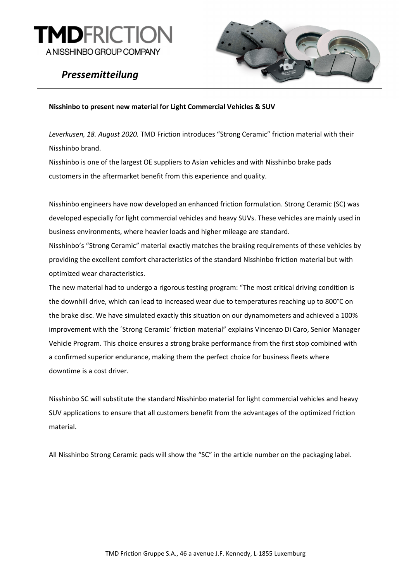

# *Pressemitteilung*



## **Nisshinbo to present new material for Light Commercial Vehicles & SUV**

*Leverkusen, 18. August 2020.* TMD Friction introduces "Strong Ceramic" friction material with their Nisshinbo brand.

Nisshinbo is one of the largest OE suppliers to Asian vehicles and with Nisshinbo brake pads customers in the aftermarket benefit from this experience and quality.

Nisshinbo engineers have now developed an enhanced friction formulation. Strong Ceramic (SC) was developed especially for light commercial vehicles and heavy SUVs. These vehicles are mainly used in business environments, where heavier loads and higher mileage are standard.

Nisshinbo's "Strong Ceramic" material exactly matches the braking requirements of these vehicles by providing the excellent comfort characteristics of the standard Nisshinbo friction material but with optimized wear characteristics.

The new material had to undergo a rigorous testing program: "The most critical driving condition is the downhill drive, which can lead to increased wear due to temperatures reaching up to 800°C on the brake disc. We have simulated exactly this situation on our dynamometers and achieved a 100% improvement with the ´Strong Ceramic´ friction material" explains Vincenzo Di Caro, Senior Manager Vehicle Program. This choice ensures a strong brake performance from the first stop combined with a confirmed superior endurance, making them the perfect choice for business fleets where downtime is a cost driver.

Nisshinbo SC will substitute the standard Nisshinbo material for light commercial vehicles and heavy SUV applications to ensure that all customers benefit from the advantages of the optimized friction material.

All Nisshinbo Strong Ceramic pads will show the "SC" in the article number on the packaging label.